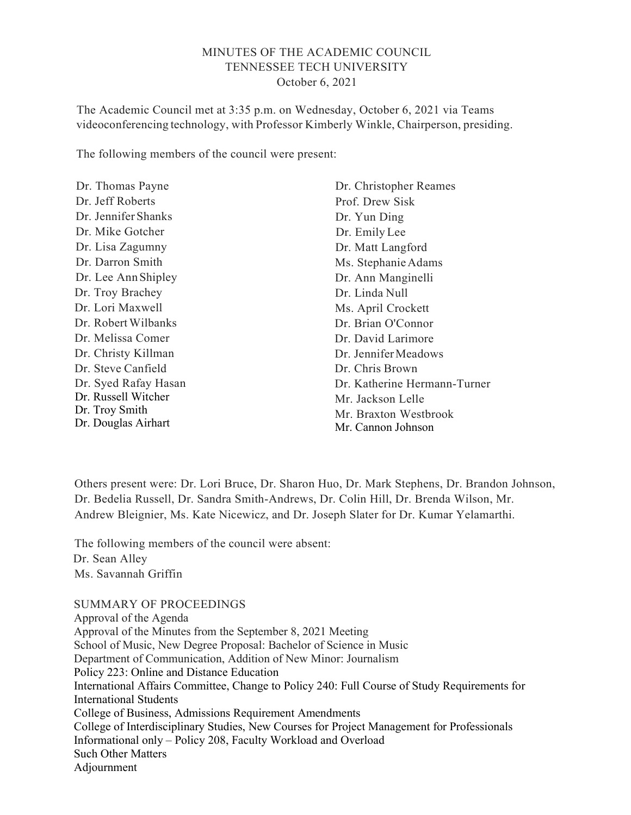# MINUTES OF THE ACADEMIC COUNCIL TENNESSEE TECH UNIVERSITY October 6, 2021

The Academic Council met at 3:35 p.m. on Wednesday, October 6, 2021 via Teams videoconferencing technology, with Professor Kimberly Winkle, Chairperson, presiding.

The following members of the council were present:

| Dr. Thomas Payne     | Dr. Christopher Reames       |
|----------------------|------------------------------|
| Dr. Jeff Roberts     | Prof. Drew Sisk              |
| Dr. Jennifer Shanks  | Dr. Yun Ding                 |
| Dr. Mike Gotcher     | Dr. Emily Lee                |
| Dr. Lisa Zagumny     | Dr. Matt Langford            |
| Dr. Darron Smith     | Ms. Stephanie Adams          |
| Dr. Lee Ann Shipley  | Dr. Ann Manginelli           |
| Dr. Troy Brachey     | Dr. Linda Null               |
| Dr. Lori Maxwell     | Ms. April Crockett           |
| Dr. Robert Wilbanks  | Dr. Brian O'Connor           |
| Dr. Melissa Comer    | Dr. David Larimore           |
| Dr. Christy Killman  | Dr. Jennifer Meadows         |
| Dr. Steve Canfield   | Dr. Chris Brown              |
| Dr. Syed Rafay Hasan | Dr. Katherine Hermann-Turner |
| Dr. Russell Witcher  | Mr. Jackson Lelle            |
| Dr. Troy Smith       | Mr. Braxton Westbrook        |
| Dr. Douglas Airhart  | Mr. Cannon Johnson           |

Others present were: Dr. Lori Bruce, Dr. Sharon Huo, Dr. Mark Stephens, Dr. Brandon Johnson, Dr. Bedelia Russell, Dr. Sandra Smith-Andrews, Dr. Colin Hill, Dr. Brenda Wilson, Mr. Andrew Bleignier, Ms. Kate Nicewicz, and Dr. Joseph Slater for Dr. Kumar Yelamarthi.

The following members of the council were absent: Dr. Sean Alley Ms. Savannah Griffin

SUMMARY OF PROCEEDINGS Approval of the Agenda Approval of the Minutes from the September 8, 2021 Meeting School of Music, New Degree Proposal: Bachelor of Science in Music Department of Communication, Addition of New Minor: Journalism Policy 223: Online and Distance Education International Affairs Committee, Change to Policy 240: Full Course of Study Requirements for International Students College of Business, Admissions Requirement Amendments College of Interdisciplinary Studies, New Courses for Project Management for Professionals Informational only – Policy 208, Faculty Workload and Overload Such Other Matters Adjournment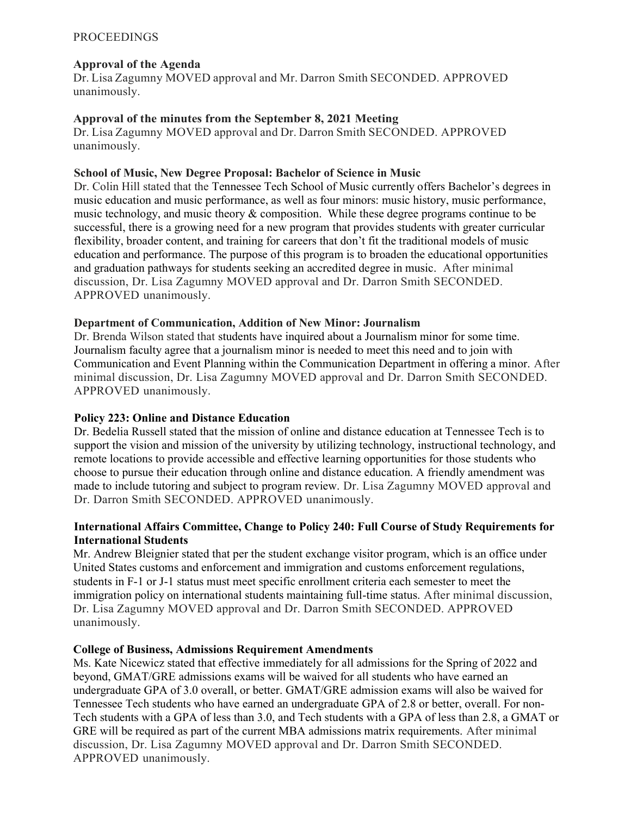### PROCEEDINGS

### Approval of the Agenda

Dr. Lisa Zagumny MOVED approval and Mr. Darron Smith SECONDED. APPROVED unanimously.

### Approval of the minutes from the September 8, 2021 Meeting

Dr. Lisa Zagumny MOVED approval and Dr. Darron Smith SECONDED. APPROVED unanimously.

#### School of Music, New Degree Proposal: Bachelor of Science in Music

Dr. Colin Hill stated that the Tennessee Tech School of Music currently offers Bachelor's degrees in music education and music performance, as well as four minors: music history, music performance, music technology, and music theory & composition. While these degree programs continue to be successful, there is a growing need for a new program that provides students with greater curricular flexibility, broader content, and training for careers that don't fit the traditional models of music education and performance. The purpose of this program is to broaden the educational opportunities and graduation pathways for students seeking an accredited degree in music. After minimal discussion, Dr. Lisa Zagumny MOVED approval and Dr. Darron Smith SECONDED. APPROVED unanimously.

### Department of Communication, Addition of New Minor: Journalism

Dr. Brenda Wilson stated that students have inquired about a Journalism minor for some time. Journalism faculty agree that a journalism minor is needed to meet this need and to join with Communication and Event Planning within the Communication Department in offering a minor. After minimal discussion, Dr. Lisa Zagumny MOVED approval and Dr. Darron Smith SECONDED. APPROVED unanimously.

# Policy 223: Online and Distance Education

Dr. Bedelia Russell stated that the mission of online and distance education at Tennessee Tech is to support the vision and mission of the university by utilizing technology, instructional technology, and remote locations to provide accessible and effective learning opportunities for those students who choose to pursue their education through online and distance education. A friendly amendment was made to include tutoring and subject to program review. Dr. Lisa Zagumny MOVED approval and Dr. Darron Smith SECONDED. APPROVED unanimously.

### International Affairs Committee, Change to Policy 240: Full Course of Study Requirements for International Students

Mr. Andrew Bleignier stated that per the student exchange visitor program, which is an office under United States customs and enforcement and immigration and customs enforcement regulations, students in F-1 or J-1 status must meet specific enrollment criteria each semester to meet the immigration policy on international students maintaining full-time status. After minimal discussion, Dr. Lisa Zagumny MOVED approval and Dr. Darron Smith SECONDED. APPROVED unanimously.

#### College of Business, Admissions Requirement Amendments

Ms. Kate Nicewicz stated that effective immediately for all admissions for the Spring of 2022 and beyond, GMAT/GRE admissions exams will be waived for all students who have earned an undergraduate GPA of 3.0 overall, or better. GMAT/GRE admission exams will also be waived for Tennessee Tech students who have earned an undergraduate GPA of 2.8 or better, overall. For non-Tech students with a GPA of less than 3.0, and Tech students with a GPA of less than 2.8, a GMAT or GRE will be required as part of the current MBA admissions matrix requirements. After minimal discussion, Dr. Lisa Zagumny MOVED approval and Dr. Darron Smith SECONDED. APPROVED unanimously.